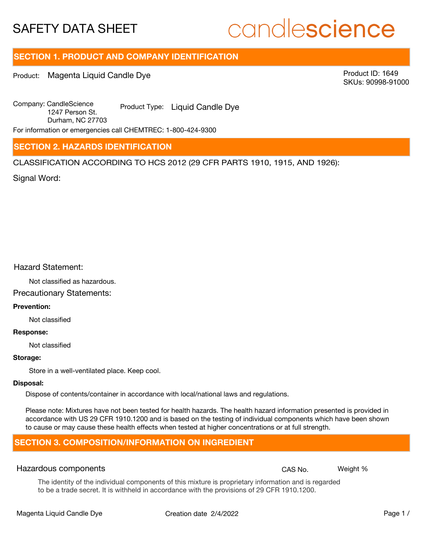# candlescience

## **SECTION 1. PRODUCT AND COMPANY IDENTIFICATION**

Product: Magenta Liquid Candle Dye

Product ID: 1649 SKUs: 90998-91000

Company: Candle Science Product Type: Liquid Candle Dye 1247 Person St. Durham, NC 27703

For information or emergencies call CHEMTREC: 1-800-424-9300

## **SECTION 2. HAZARDS IDENTIFICATION**

CLASSIFICATION ACCORDING TO HCS 2012 (29 CFR PARTS 1910, 1915, AND 1926):

Signal Word:

## Hazard Statement:

Not classified as hazardous.

## Precautionary Statements:

### **Prevention:**

Not classified

#### **Response:**

Not classified

#### **Storage:**

Store in a well-ventilated place. Keep cool.

#### **Disposal:**

Dispose of contents/container in accordance with local/national laws and regulations.

Please note: Mixtures have not been tested for health hazards. The health hazard information presented is provided in accordance with US 29 CFR 1910.1200 and is based on the testing of individual components which have been shown to cause or may cause these health effects when tested at higher concentrations or at full strength.

## **SECTION 3. COMPOSITION/INFORMATION ON INGREDIENT**

#### Hazardous components **CAS No. Weight %** and CAS No. Weight %

The identity of the individual components of this mixture is proprietary information and is regarded to be a trade secret. It is withheld in accordance with the provisions of 29 CFR 1910.1200.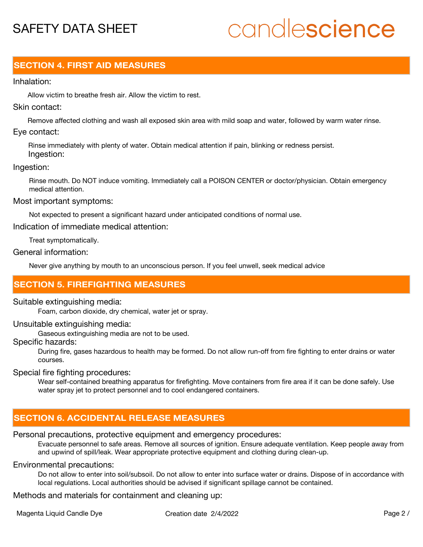# candlescience

## **SECTION 4. FIRST AID MEASURES**

## Inhalation:

Allow victim to breathe fresh air. Allow the victim to rest.

## Skin contact:

Remove affected clothing and wash all exposed skin area with mild soap and water, followed by warm water rinse. Eye contact:

Rinse immediately with plenty of water. Obtain medical attention if pain, blinking or redness persist. Ingestion:

### Ingestion:

Rinse mouth. Do NOT induce vomiting. Immediately call a POISON CENTER or doctor/physician. Obtain emergency medical attention.

#### Most important symptoms:

Not expected to present a significant hazard under anticipated conditions of normal use.

Indication of immediate medical attention:

Treat symptomatically.

## General information:

Never give anything by mouth to an unconscious person. If you feel unwell, seek medical advice

## **SECTION 5. FIREFIGHTING MEASURES**

#### Suitable extinguishing media:

Foam, carbon dioxide, dry chemical, water jet or spray.

## Unsuitable extinguishing media:

Gaseous extinguishing media are not to be used.

## Specific hazards:

During fire, gases hazardous to health may be formed. Do not allow run-off from fire fighting to enter drains or water courses.

Special fire fighting procedures:

Wear self-contained breathing apparatus for firefighting. Move containers from fire area if it can be done safely. Use water spray jet to protect personnel and to cool endangered containers.

## **SECTION 6. ACCIDENTAL RELEASE MEASURES**

## Personal precautions, protective equipment and emergency procedures:

Evacuate personnel to safe areas. Remove all sources of ignition. Ensure adequate ventilation. Keep people away from and upwind of spill/leak. Wear appropriate protective equipment and clothing during clean-up.

## Environmental precautions:

Do not allow to enter into soil/subsoil. Do not allow to enter into surface water or drains. Dispose of in accordance with local regulations. Local authorities should be advised if significant spillage cannot be contained.

Methods and materials for containment and cleaning up: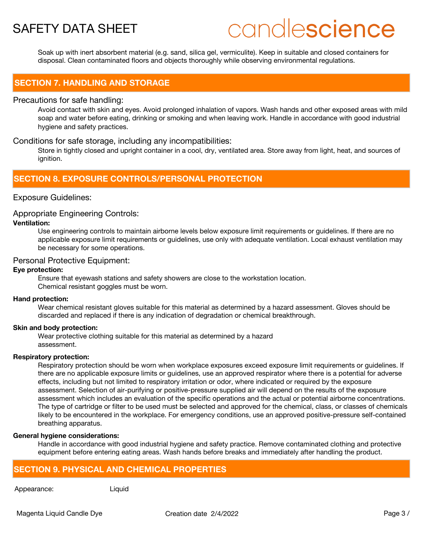# candlescience

Soak up with inert absorbent material (e.g. sand, silica gel, vermiculite). Keep in suitable and closed containers for disposal. Clean contaminated floors and objects thoroughly while observing environmental regulations.

## **SECTION 7. HANDLING AND STORAGE**

### Precautions for safe handling:

Avoid contact with skin and eyes. Avoid prolonged inhalation of vapors. Wash hands and other exposed areas with mild soap and water before eating, drinking or smoking and when leaving work. Handle in accordance with good industrial hygiene and safety practices.

## Conditions for safe storage, including any incompatibilities:

Store in tightly closed and upright container in a cool, dry, ventilated area. Store away from light, heat, and sources of ignition.

## **SECTION 8. EXPOSURE CONTROLS/PERSONAL PROTECTION**

## Exposure Guidelines:

## Appropriate Engineering Controls:

### **Ventilation:**

Use engineering controls to maintain airborne levels below exposure limit requirements or guidelines. If there are no applicable exposure limit requirements or guidelines, use only with adequate ventilation. Local exhaust ventilation may be necessary for some operations.

### Personal Protective Equipment:

#### **Eye protection:**

Ensure that eyewash stations and safety showers are close to the workstation location. Chemical resistant goggles must be worn.

#### **Hand protection:**

Wear chemical resistant gloves suitable for this material as determined by a hazard assessment. Gloves should be discarded and replaced if there is any indication of degradation or chemical breakthrough.

#### **Skin and body protection:**

Wear protective clothing suitable for this material as determined by a hazard assessment.

#### **Respiratory protection:**

Respiratory protection should be worn when workplace exposures exceed exposure limit requirements or guidelines. If there are no applicable exposure limits or guidelines, use an approved respirator where there is a potential for adverse effects, including but not limited to respiratory irritation or odor, where indicated or required by the exposure assessment. Selection of air-purifying or positive-pressure supplied air will depend on the results of the exposure assessment which includes an evaluation of the specific operations and the actual or potential airborne concentrations. The type of cartridge or filter to be used must be selected and approved for the chemical, class, or classes of chemicals likely to be encountered in the workplace. For emergency conditions, use an approved positive-pressure self-contained breathing apparatus.

#### **General hygiene considerations:**

Handle in accordance with good industrial hygiene and safety practice. Remove contaminated clothing and protective equipment before entering eating areas. Wash hands before breaks and immediately after handling the product.

## **SECTION 9. PHYSICAL AND CHEMICAL PROPERTIES**

Appearance: Liquid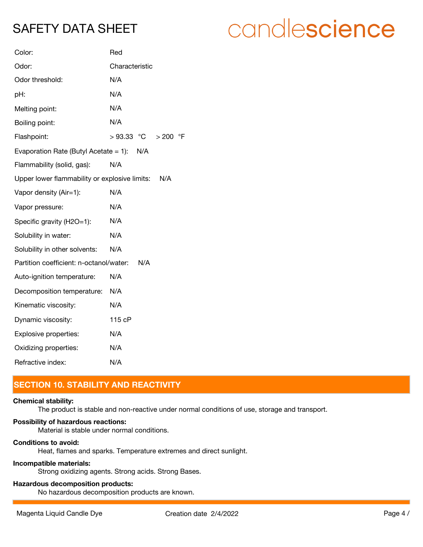# candlescience

| Color:                                               | Red                     |
|------------------------------------------------------|-------------------------|
| Odor:                                                | Characteristic          |
| Odor threshold:                                      | N/A                     |
| pH:                                                  | N/A                     |
| Melting point:                                       | N/A                     |
| Boiling point:                                       | N/A                     |
| Flashpoint:                                          | $>93.33$ °C<br>> 200 °F |
| Evaporation Rate (Butyl Acetate = 1): $N/A$          |                         |
| Flammability (solid, gas):                           | N/A                     |
| Upper lower flammability or explosive limits:<br>N/A |                         |
| Vapor density (Air=1):                               | N/A                     |
| Vapor pressure:                                      | N/A                     |
| Specific gravity (H2O=1):                            | N/A                     |
| Solubility in water:                                 | N/A                     |
| Solubility in other solvents:                        | N/A                     |
| Partition coefficient: n-octanol/water:              | N/A                     |
| Auto-ignition temperature:                           | N/A                     |
| Decomposition temperature:                           | N/A                     |
| Kinematic viscosity:                                 | N/A                     |
| Dynamic viscosity:                                   | 115 cP                  |
| Explosive properties:                                | N/A                     |
| Oxidizing properties:                                | N/A                     |
| Refractive index:                                    | N/A                     |

## **SECTION 10. STABILITY AND REACTIVITY**

#### **Chemical stability:**

The product is stable and non-reactive under normal conditions of use, storage and transport.

## **Possibility of hazardous reactions:**

Material is stable under normal conditions.

## **Conditions to avoid:**

Heat, flames and sparks. Temperature extremes and direct sunlight.

## **Incompatible materials:**

Strong oxidizing agents. Strong acids. Strong Bases.

## **Hazardous decomposition products:**

No hazardous decomposition products are known.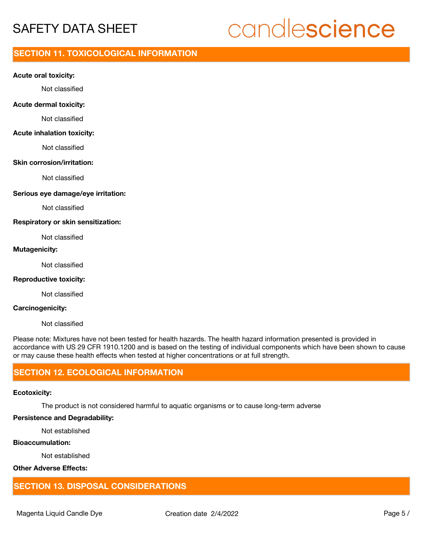# candlescience

## **SECTION 11. TOXICOLOGICAL INFORMATION**

#### **Acute oral toxicity:**

Not classified

#### **Acute dermal toxicity:**

Not classified

#### **Acute inhalation toxicity:**

Not classified

#### **Skin corrosion/irritation:**

Not classified

#### **Serious eye damage/eye irritation:**

Not classified

#### **Respiratory or skin sensitization:**

Not classified

## **Mutagenicity:**

Not classified

#### **Reproductive toxicity:**

Not classified

#### **Carcinogenicity:**

Not classified

Please note: Mixtures have not been tested for health hazards. The health hazard information presented is provided in accordance with US 29 CFR 1910.1200 and is based on the testing of individual components which have been shown to cause or may cause these health effects when tested at higher concentrations or at full strength.

## **SECTION 12. ECOLOGICAL INFORMATION**

#### **Ecotoxicity:**

The product is not considered harmful to aquatic organisms or to cause long-term adverse

### **Persistence and Degradability:**

Not established

## **Bioaccumulation:**

Not established

## **Other Adverse Effects:**

## **SECTION 13. DISPOSAL CONSIDERATIONS**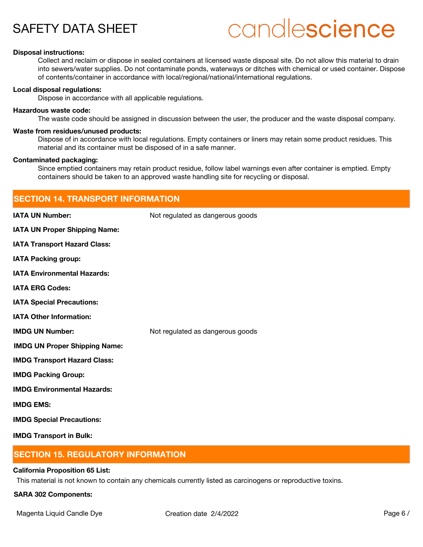# candlescience

#### **Disposal instructions:**

Collect and reclaim or dispose in sealed containers at licensed waste disposal site. Do not allow this material to drain into sewers/water supplies. Do not contaminate ponds, waterways or ditches with chemical or used container. Dispose of contents/container in accordance with local/regional/national/international regulations.

#### **Local disposal regulations:**

Dispose in accordance with all applicable regulations.

#### **Hazardous waste code:**

The waste code should be assigned in discussion between the user, the producer and the waste disposal company.

#### **Waste from residues/unused products:**

Dispose of in accordance with local regulations. Empty containers or liners may retain some product residues. This material and its container must be disposed of in a safe manner.

#### **Contaminated packaging:**

Since emptied containers may retain product residue, follow label warnings even after container is emptied. Empty containers should be taken to an approved waste handling site for recycling or disposal.

| <b>SECTION 14. TRANSPORT INFORMATION</b> |                                  |  |
|------------------------------------------|----------------------------------|--|
| <b>IATA UN Number:</b>                   | Not regulated as dangerous goods |  |
| IATA UN Proper Shipping Name:            |                                  |  |
| <b>IATA Transport Hazard Class:</b>      |                                  |  |
| <b>IATA Packing group:</b>               |                                  |  |
| <b>IATA Environmental Hazards:</b>       |                                  |  |
| <b>IATA ERG Codes:</b>                   |                                  |  |
| <b>IATA Special Precautions:</b>         |                                  |  |
| <b>IATA Other Information:</b>           |                                  |  |
| <b>IMDG UN Number:</b>                   | Not regulated as dangerous goods |  |
| <b>IMDG UN Proper Shipping Name:</b>     |                                  |  |
| <b>IMDG Transport Hazard Class:</b>      |                                  |  |
| <b>IMDG Packing Group:</b>               |                                  |  |
| <b>IMDG Environmental Hazards:</b>       |                                  |  |
| <b>IMDG EMS:</b>                         |                                  |  |
| <b>IMDG Special Precautions:</b>         |                                  |  |
| <b>IMDG Transport in Bulk:</b>           |                                  |  |

## **SECTION 15. REGULATORY INFORMATION**

#### **California Proposition 65 List:**

This material is not known to contain any chemicals currently listed as carcinogens or reproductive toxins.

#### **SARA 302 Components:**

Magenta Liquid Candle Dye **Creation date 2/4/2022** Page 6 /